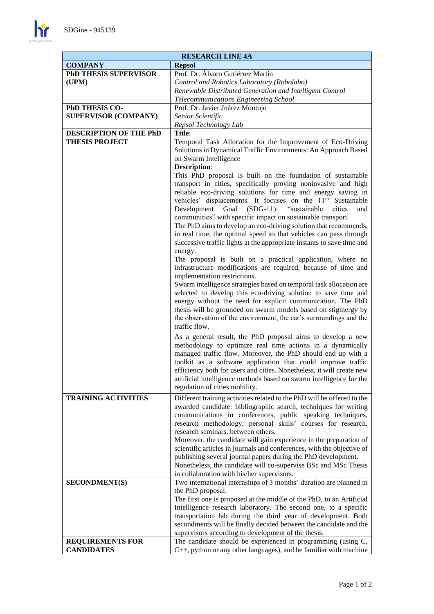

| <b>RESEARCH LINE 4A</b>                         |                                                                                                                                                                                                                                                                                                                                                                                                                                                                                                                                                                                                                                                                                                                                                                                                                                                                                                                                                                                                                                                                                                                                                                                     |
|-------------------------------------------------|-------------------------------------------------------------------------------------------------------------------------------------------------------------------------------------------------------------------------------------------------------------------------------------------------------------------------------------------------------------------------------------------------------------------------------------------------------------------------------------------------------------------------------------------------------------------------------------------------------------------------------------------------------------------------------------------------------------------------------------------------------------------------------------------------------------------------------------------------------------------------------------------------------------------------------------------------------------------------------------------------------------------------------------------------------------------------------------------------------------------------------------------------------------------------------------|
| <b>COMPANY</b>                                  | <b>Repsol</b>                                                                                                                                                                                                                                                                                                                                                                                                                                                                                                                                                                                                                                                                                                                                                                                                                                                                                                                                                                                                                                                                                                                                                                       |
| <b>PhD THESIS SUPERVISOR</b>                    | Prof. Dr. Álvaro Gutiérrez Martín                                                                                                                                                                                                                                                                                                                                                                                                                                                                                                                                                                                                                                                                                                                                                                                                                                                                                                                                                                                                                                                                                                                                                   |
| (UPM)                                           | Control and Robotics Laboratory (Robolabo)                                                                                                                                                                                                                                                                                                                                                                                                                                                                                                                                                                                                                                                                                                                                                                                                                                                                                                                                                                                                                                                                                                                                          |
|                                                 | Renewable Distributed Generation and Intelligent Control                                                                                                                                                                                                                                                                                                                                                                                                                                                                                                                                                                                                                                                                                                                                                                                                                                                                                                                                                                                                                                                                                                                            |
|                                                 | Telecommunications Engineering School                                                                                                                                                                                                                                                                                                                                                                                                                                                                                                                                                                                                                                                                                                                                                                                                                                                                                                                                                                                                                                                                                                                                               |
| PhD THESIS CO-                                  | Prof. Dr. Javier Juárez Montojo                                                                                                                                                                                                                                                                                                                                                                                                                                                                                                                                                                                                                                                                                                                                                                                                                                                                                                                                                                                                                                                                                                                                                     |
| <b>SUPERVISOR (COMPANY)</b>                     | Senior Scientific                                                                                                                                                                                                                                                                                                                                                                                                                                                                                                                                                                                                                                                                                                                                                                                                                                                                                                                                                                                                                                                                                                                                                                   |
|                                                 | Repsol Technology Lab                                                                                                                                                                                                                                                                                                                                                                                                                                                                                                                                                                                                                                                                                                                                                                                                                                                                                                                                                                                                                                                                                                                                                               |
| DESCRIPTION OF THE PhD<br><b>THESIS PROJECT</b> | Title:<br>Temporal Task Allocation for the Improvement of Eco-Driving<br>Solutions in Dynamical Traffic Environments: An Approach Based<br>on Swarm Intelligence                                                                                                                                                                                                                                                                                                                                                                                                                                                                                                                                                                                                                                                                                                                                                                                                                                                                                                                                                                                                                    |
|                                                 | <b>Description:</b><br>This PhD proposal is built on the foundation of sustainable<br>transport in cities, specifically proving noninvasive and high<br>reliable eco-driving solutions for time and energy saving in<br>vehicles' displacements. It focuses on the 11 <sup>th</sup> Sustainable<br>$(SDG-11)$ :<br>"sustainable<br>cities<br>Development<br>Goal<br>and<br>communities" with specific impact on sustainable transport.<br>The PhD aims to develop an eco-driving solution that recommends,<br>in real time, the optimal speed so that vehicles can pass through<br>successive traffic lights at the appropriate instants to save time and<br>energy.<br>The proposal is built on a practical application, where no<br>infrastructure modifications are required, because of time and<br>implementation restrictions.<br>Swarm intelligence strategies based on temporal task allocation are<br>selected to develop this eco-driving solution to save time and<br>energy without the need for explicit communication. The PhD<br>thesis will be grounded on swarm models based on stigmergy by<br>the observation of the environment, the car's surroundings and the |
|                                                 | traffic flow.<br>As a general result, the PhD proposal aims to develop a new<br>methodology to optimize real time actions in a dynamically<br>managed traffic flow. Moreover, the PhD should end up with a<br>toolkit as a software application that could improve traffic<br>efficiency both for users and cities. Nonetheless, it will create new<br>artificial intelligence methods based on swarm intelligence for the<br>regulation of cities mobility.                                                                                                                                                                                                                                                                                                                                                                                                                                                                                                                                                                                                                                                                                                                        |
| <b>TRAINING ACTIVITIES</b>                      | Different training activities related to the PhD will be offered to the<br>awarded candidate: bibliographic search, techniques for writing<br>communications in conferences, public speaking techniques,<br>research methodology, personal skills' courses for research,<br>research seminars, between others.<br>Moreover, the candidate will gain experience in the preparation of<br>scientific articles in journals and conferences, with the objective of<br>publishing several journal papers during the PhD development.<br>Nonetheless, the candidate will co-supervise BSc and MSc Thesis<br>in collaboration with his/her supervisors.                                                                                                                                                                                                                                                                                                                                                                                                                                                                                                                                    |
| <b>SECONDMENT(S)</b>                            | Two international internships of 3 months' duration are planned in<br>the PhD proposal.<br>The first one is proposed at the middle of the PhD, to an Artificial<br>Intelligence research laboratory. The second one, to a specific<br>transportation lab during the third year of development. Both<br>secondments will be finally decided between the candidate and the<br>supervisors according to development of the thesis.<br>The candidate should be experienced in programming (using C,                                                                                                                                                                                                                                                                                                                                                                                                                                                                                                                                                                                                                                                                                     |
| <b>REQUIREMENTS FOR</b><br><b>CANDIDATES</b>    | C++, python or any other languages), and be familiar with machine                                                                                                                                                                                                                                                                                                                                                                                                                                                                                                                                                                                                                                                                                                                                                                                                                                                                                                                                                                                                                                                                                                                   |